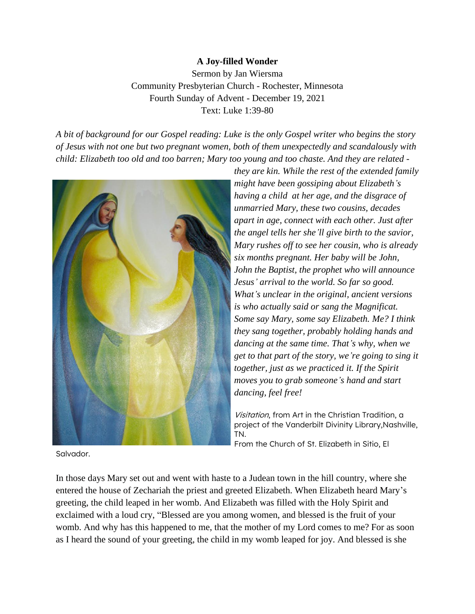## **A Joy-filled Wonder**

Sermon by Jan Wiersma Community Presbyterian Church - Rochester, Minnesota Fourth Sunday of Advent - December 19, 2021 Text: Luke 1:39-80

*A bit of background for our Gospel reading: Luke is the only Gospel writer who begins the story of Jesus with not one but two pregnant women, both of them unexpectedly and scandalously with child: Elizabeth too old and too barren; Mary too young and too chaste. And they are related -*



*they are kin. While the rest of the extended family might have been gossiping about Elizabeth's having a child at her age, and the disgrace of unmarried Mary, these two cousins, decades apart in age, connect with each other. Just after the angel tells her she'll give birth to the savior, Mary rushes off to see her cousin, who is already six months pregnant. Her baby will be John, John the Baptist, the prophet who will announce Jesus' arrival to the world. So far so good. What's unclear in the original, ancient versions is who actually said or sang the Magnificat. Some say Mary, some say Elizabeth. Me? I think they sang together, probably holding hands and dancing at the same time. That's why, when we get to that part of the story, we're going to sing it together, just as we practiced it. If the Spirit moves you to grab someone's hand and start dancing, feel free!*

Visitation, from Art in the Christian Tradition, a project of the Vanderbilt Divinity Library,Nashville, TN.

From the Church of St. Elizabeth in Sitio, El

Salvador.

In those days Mary set out and went with haste to a Judean town in the hill country, where she entered the house of Zechariah the priest and greeted Elizabeth. When Elizabeth heard Mary's greeting, the child leaped in her womb. And Elizabeth was filled with the Holy Spirit and exclaimed with a loud cry, "Blessed are you among women, and blessed is the fruit of your womb. And why has this happened to me, that the mother of my Lord comes to me? For as soon as I heard the sound of your greeting, the child in my womb leaped for joy. And blessed is she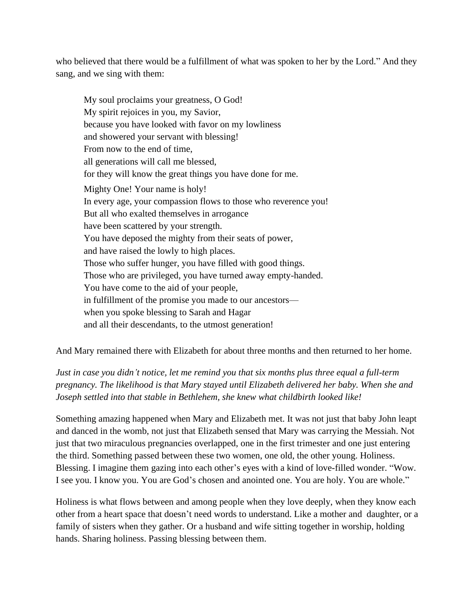who believed that there would be a fulfillment of what was spoken to her by the Lord." And they sang, and we sing with them:

My soul proclaims your greatness, O God! My spirit rejoices in you, my Savior, because you have looked with favor on my lowliness and showered your servant with blessing! From now to the end of time, all generations will call me blessed, for they will know the great things you have done for me. Mighty One! Your name is holy! In every age, your compassion flows to those who reverence you! But all who exalted themselves in arrogance have been scattered by your strength. You have deposed the mighty from their seats of power, and have raised the lowly to high places. Those who suffer hunger, you have filled with good things. Those who are privileged, you have turned away empty-handed. You have come to the aid of your people, in fulfillment of the promise you made to our ancestors when you spoke blessing to Sarah and Hagar and all their descendants, to the utmost generation!

And Mary remained there with Elizabeth for about three months and then returned to her home.

*Just in case you didn't notice, let me remind you that six months plus three equal a full-term pregnancy. The likelihood is that Mary stayed until Elizabeth delivered her baby. When she and Joseph settled into that stable in Bethlehem, she knew what childbirth looked like!*

Something amazing happened when Mary and Elizabeth met. It was not just that baby John leapt and danced in the womb, not just that Elizabeth sensed that Mary was carrying the Messiah. Not just that two miraculous pregnancies overlapped, one in the first trimester and one just entering the third. Something passed between these two women, one old, the other young. Holiness. Blessing. I imagine them gazing into each other's eyes with a kind of love-filled wonder. "Wow. I see you. I know you. You are God's chosen and anointed one. You are holy. You are whole."

Holiness is what flows between and among people when they love deeply, when they know each other from a heart space that doesn't need words to understand. Like a mother and daughter, or a family of sisters when they gather. Or a husband and wife sitting together in worship, holding hands. Sharing holiness. Passing blessing between them.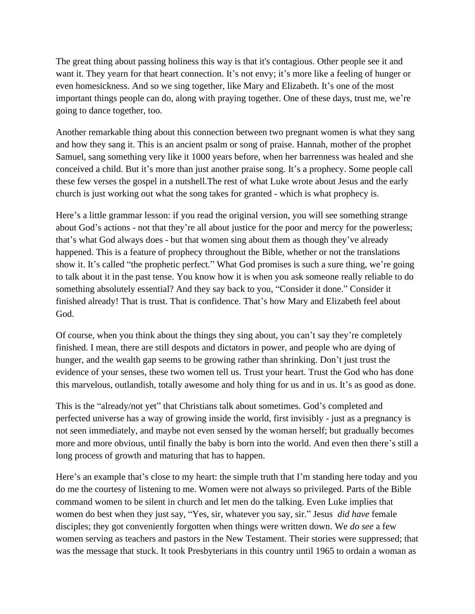The great thing about passing holiness this way is that it's contagious. Other people see it and want it. They yearn for that heart connection. It's not envy; it's more like a feeling of hunger or even homesickness. And so we sing together, like Mary and Elizabeth. It's one of the most important things people can do, along with praying together. One of these days, trust me, we're going to dance together, too.

Another remarkable thing about this connection between two pregnant women is what they sang and how they sang it. This is an ancient psalm or song of praise. Hannah, mother of the prophet Samuel, sang something very like it 1000 years before, when her barrenness was healed and she conceived a child. But it's more than just another praise song. It's a prophecy. Some people call these few verses the gospel in a nutshell.The rest of what Luke wrote about Jesus and the early church is just working out what the song takes for granted - which is what prophecy is.

Here's a little grammar lesson: if you read the original version, you will see something strange about God's actions - not that they're all about justice for the poor and mercy for the powerless; that's what God always does - but that women sing about them as though they've already happened. This is a feature of prophecy throughout the Bible, whether or not the translations show it. It's called "the prophetic perfect." What God promises is such a sure thing, we're going to talk about it in the past tense. You know how it is when you ask someone really reliable to do something absolutely essential? And they say back to you, "Consider it done." Consider it finished already! That is trust. That is confidence. That's how Mary and Elizabeth feel about God.

Of course, when you think about the things they sing about, you can't say they're completely finished. I mean, there are still despots and dictators in power, and people who are dying of hunger, and the wealth gap seems to be growing rather than shrinking. Don't just trust the evidence of your senses, these two women tell us. Trust your heart. Trust the God who has done this marvelous, outlandish, totally awesome and holy thing for us and in us. It's as good as done.

This is the "already/not yet" that Christians talk about sometimes. God's completed and perfected universe has a way of growing inside the world, first invisibly - just as a pregnancy is not seen immediately, and maybe not even sensed by the woman herself; but gradually becomes more and more obvious, until finally the baby is born into the world. And even then there's still a long process of growth and maturing that has to happen.

Here's an example that's close to my heart: the simple truth that I'm standing here today and you do me the courtesy of listening to me. Women were not always so privileged. Parts of the Bible command women to be silent in church and let men do the talking. Even Luke implies that women do best when they just say, "Yes, sir, whatever you say, sir." Jesus *did have* female disciples; they got conveniently forgotten when things were written down. We *do see* a few women serving as teachers and pastors in the New Testament. Their stories were suppressed; that was the message that stuck. It took Presbyterians in this country until 1965 to ordain a woman as